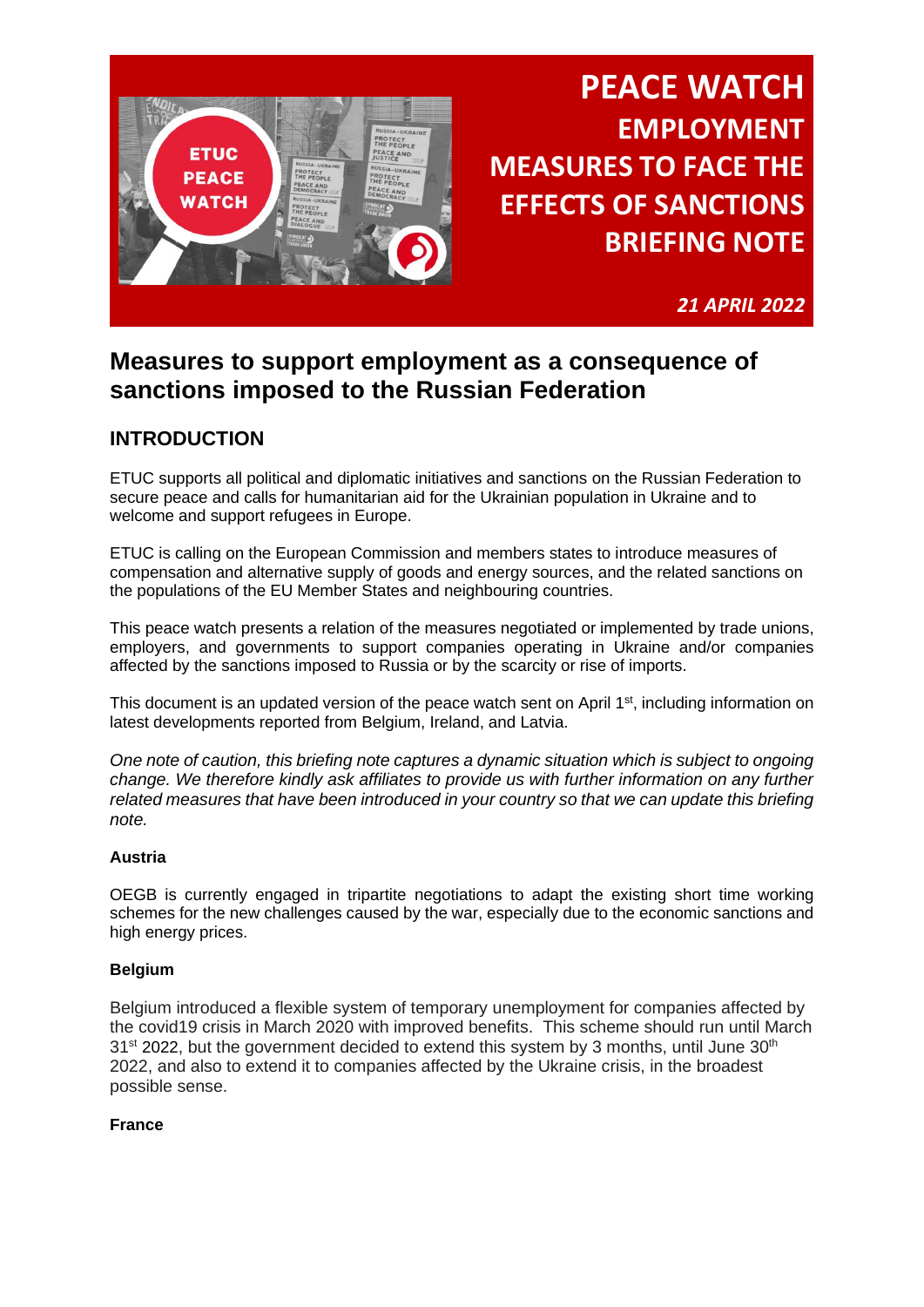

*21 APRIL 2022*

## **Measures to support employment as a consequence of sanctions imposed to the Russian Federation**

## **INTRODUCTION**

ETUC supports all political and diplomatic initiatives and sanctions on the Russian Federation to secure peace and calls for humanitarian aid for the Ukrainian population in Ukraine and to welcome and support refugees in Europe.

ETUC is calling on the European Commission and members states to introduce measures of compensation and alternative supply of goods and energy sources, and the related sanctions on the populations of the EU Member States and neighbouring countries.

This peace watch presents a relation of the measures negotiated or implemented by trade unions, employers, and governments to support companies operating in Ukraine and/or companies affected by the sanctions imposed to Russia or by the scarcity or rise of imports.

This document is an updated version of the peace watch sent on April 1<sup>st</sup>, including information on latest developments reported from Belgium, Ireland, and Latvia.

*One note of caution, this briefing note captures a dynamic situation which is subject to ongoing change. We therefore kindly ask affiliates to provide us with further information on any further related measures that have been introduced in your country so that we can update this briefing note.*

## **Austria**

OEGB is currently engaged in tripartite negotiations to adapt the existing short time working schemes for the new challenges caused by the war, especially due to the economic sanctions and high energy prices.

## **Belgium**

Belgium introduced a flexible system of temporary unemployment for companies affected by the covid19 crisis in March 2020 with improved benefits. This scheme should run until March  $31<sup>st</sup>$  2022, but the government decided to extend this system by 3 months, until June  $30<sup>th</sup>$ 2022, and also to extend it to companies affected by the Ukraine crisis, in the broadest possible sense.

## **France**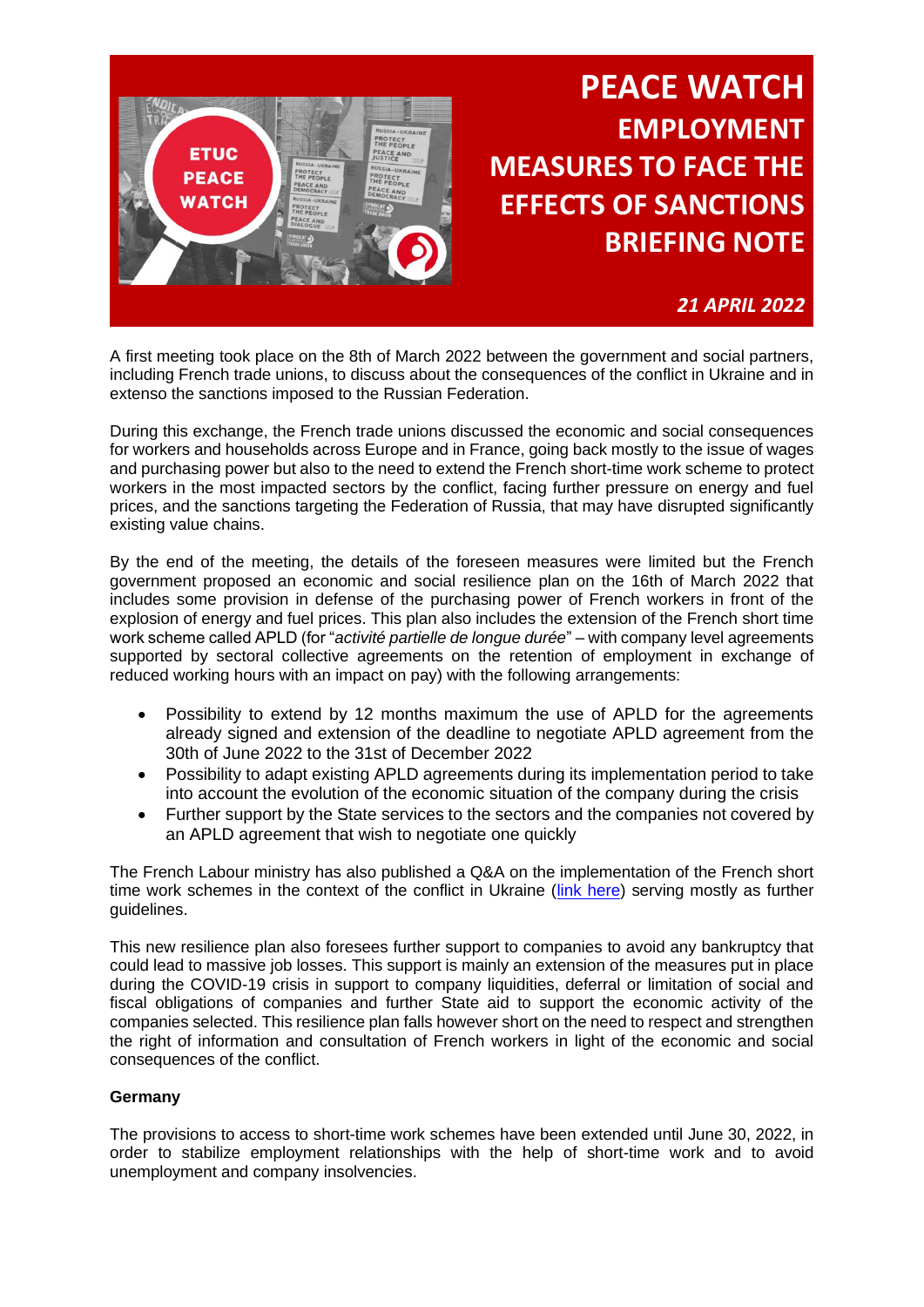

## *21 APRIL 2022*

A first meeting took place on the 8th of March 2022 between the government and social partners, including French trade unions, to discuss about the consequences of the conflict in Ukraine and in extenso the sanctions imposed to the Russian Federation.

During this exchange, the French trade unions discussed the economic and social consequences for workers and households across Europe and in France, going back mostly to the issue of wages and purchasing power but also to the need to extend the French short-time work scheme to protect workers in the most impacted sectors by the conflict, facing further pressure on energy and fuel prices, and the sanctions targeting the Federation of Russia, that may have disrupted significantly existing value chains.

By the end of the meeting, the details of the foreseen measures were limited but the French government proposed an economic and social resilience plan on the 16th of March 2022 that includes some provision in defense of the purchasing power of French workers in front of the explosion of energy and fuel prices. This plan also includes the extension of the French short time work scheme called APLD (for "*activité partielle de longue durée*" – with company level agreements supported by sectoral collective agreements on the retention of employment in exchange of reduced working hours with an impact on pay) with the following arrangements:

- Possibility to extend by 12 months maximum the use of APLD for the agreements already signed and extension of the deadline to negotiate APLD agreement from the 30th of June 2022 to the 31st of December 2022
- Possibility to adapt existing APLD agreements during its implementation period to take into account the evolution of the economic situation of the company during the crisis
- Further support by the State services to the sectors and the companies not covered by an APLD agreement that wish to negotiate one quickly

The French Labour ministry has also published a Q&A on the implementation of the French short time work schemes in the context of the conflict in Ukraine [\(link here\)](https://travail-emploi.gouv.fr/emploi-et-insertion/accompagnement-des-mutations-economiques/activite-partielle-chomage-partiel/article/questions-reponses-ap-apld-dans-le-contexte-du-conflit-en-ukraine) serving mostly as further guidelines.

This new resilience plan also foresees further support to companies to avoid any bankruptcy that could lead to massive job losses. This support is mainly an extension of the measures put in place during the COVID-19 crisis in support to company liquidities, deferral or limitation of social and fiscal obligations of companies and further State aid to support the economic activity of the companies selected. This resilience plan falls however short on the need to respect and strengthen the right of information and consultation of French workers in light of the economic and social consequences of the conflict.

### **Germany**

The provisions to access to short-time work schemes have been extended until June 30, 2022, in order to stabilize employment relationships with the help of short-time work and to avoid unemployment and company insolvencies.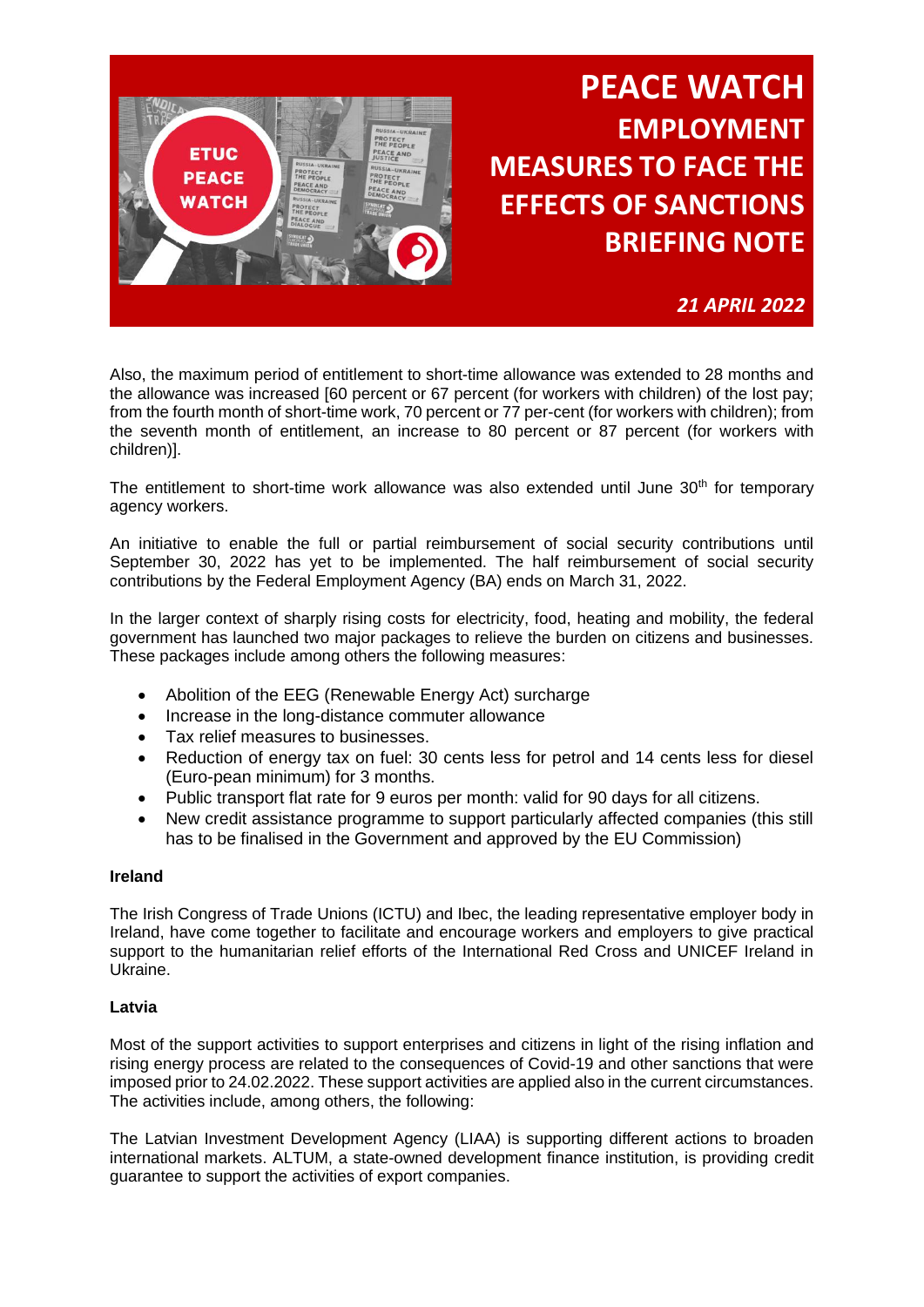

*21 APRIL 2022*

Also, the maximum period of entitlement to short-time allowance was extended to 28 months and the allowance was increased [60 percent or 67 percent (for workers with children) of the lost pay; from the fourth month of short-time work, 70 percent or 77 per-cent (for workers with children); from the seventh month of entitlement, an increase to 80 percent or 87 percent (for workers with children)].

The entitlement to short-time work allowance was also extended until June  $30<sup>th</sup>$  for temporary agency workers.

An initiative to enable the full or partial reimbursement of social security contributions until September 30, 2022 has yet to be implemented. The half reimbursement of social security contributions by the Federal Employment Agency (BA) ends on March 31, 2022.

In the larger context of sharply rising costs for electricity, food, heating and mobility, the federal government has launched two major packages to relieve the burden on citizens and businesses. These packages include among others the following measures:

- Abolition of the EEG (Renewable Energy Act) surcharge
- Increase in the long-distance commuter allowance
- Tax relief measures to businesses.
- Reduction of energy tax on fuel: 30 cents less for petrol and 14 cents less for diesel (Euro-pean minimum) for 3 months.
- Public transport flat rate for 9 euros per month: valid for 90 days for all citizens.
- New credit assistance programme to support particularly affected companies (this still has to be finalised in the Government and approved by the EU Commission)

### **Ireland**

The Irish Congress of Trade Unions (ICTU) and Ibec, the leading representative employer body in Ireland, have come together to facilitate and encourage workers and employers to give practical support to the humanitarian relief efforts of the International Red Cross and UNICEF Ireland in Ukraine.

### **Latvia**

Most of the support activities to support enterprises and citizens in light of the rising inflation and rising energy process are related to the consequences of Covid-19 and other sanctions that were imposed prior to 24.02.2022. These support activities are applied also in the current circumstances. The activities include, among others, the following:

The Latvian Investment Development Agency (LIAA) is supporting different actions to broaden international markets. ALTUM, a state-owned development finance institution, is providing credit guarantee to support the activities of export companies.